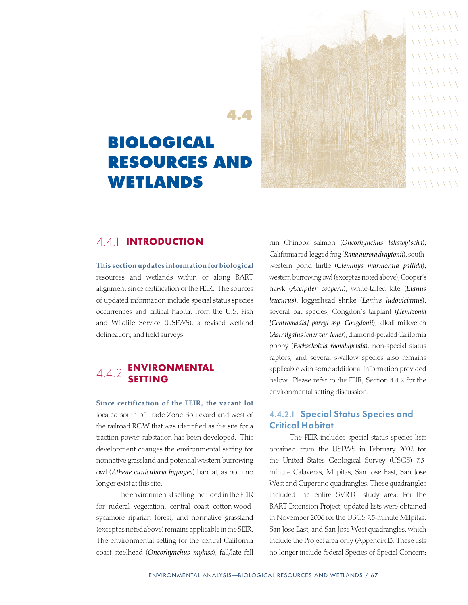# **Biological Resources and Wetlands**

**4.4**

 $\setminus \setminus \setminus \setminus \setminus \setminus \setminus$  $\setminus \setminus \setminus \setminus \setminus \setminus \setminus$  $\setminus \setminus \setminus \setminus \setminus \setminus \setminus$  $\setminus \setminus \setminus \setminus \setminus \setminus \setminus$  $\setminus \setminus \setminus \setminus \setminus \setminus \setminus$  $\setminus \setminus \setminus \setminus \setminus \setminus \setminus$  $\setminus \setminus \setminus \setminus \setminus \setminus \setminus$  $\setminus \setminus \setminus \setminus \setminus \setminus \setminus$  $\setminus \setminus \setminus \setminus \setminus \setminus \setminus$  $\setminus \setminus \setminus \setminus \setminus \setminus \setminus$  $\setminus \setminus \setminus \setminus \setminus \setminus \setminus$  $\setminus \setminus \setminus \setminus \setminus \setminus \setminus$  $\setminus \setminus \setminus \setminus \setminus \setminus \setminus$ 

# 4.4.1 INTRODUCTION

This section updates information for biological resources and wetlands within or along BART alignment since certification of the FEIR. The sources of updated information include special status species occurrences and critical habitat from the U.S. Fish and Wildlife Service (USFWS), a revised wetland delineation, and field surveys.

# 4.4.2 ENVIRONMENTAL SETTING

Since certification of the FEIR, the vacant lot located south of Trade Zone Boulevard and west of the railroad ROW that was identified as the site for a traction power substation has been developed. This development changes the environmental setting for nonnative grassland and potential western burrowing owl (*Athene cunicularia hypugea*) habitat, as both no longer exist at this site.

The environmental setting included in the FEIR for ruderal vegetation, central coast cotton-woodsycamore riparian forest, and nonnative grassland (except as noted above) remains applicable in the SEIR. The environmental setting for the central California coast steelhead (*Oncorhynchus mykiss*), fall/late fall

run Chinook salmon (*Oncorhynchus tshawytscha*), California red-legged frog (*Rana aurora draytonii*), southwestern pond turtle (*Clemmys marmorata pallida*), western burrowing owl (except as noted above), Cooper's hawk (*Accipiter cooperii*), white-tailed kite (*Elanus leucurus*), loggerhead shrike (*Lanius ludovicianus*), several bat species, Congdon's tarplant (*Hemizonia [Centromadia] parryi ssp. Congdonii*), alkali milkvetch (*Astralgalus tener var. tener*), diamond-petaled California poppy (*Eschscholzia rhombipetala*), non-special status raptors, and several swallow species also remains applicable with some additional information provided below. Please refer to the FEIR, Section 4.4.2 for the environmental setting discussion.

## 4.4.2.1 Special Status Species and Critical Habitat

The FEIR includes special status species lists obtained from the USFWS in February 2002 for the United States Geological Survey (USGS) 7.5 minute Calaveras, Milpitas, San Jose East, San Jose West and Cupertino quadrangles. These quadrangles included the entire SVRTC study area. For the BART Extension Project, updated lists were obtained in November 2006 for the USGS 7.5-minute Milpitas, San Jose East, and San Jose West quadrangles, which include the Project area only (Appendix E). These lists no longer include federal Species of Special Concern;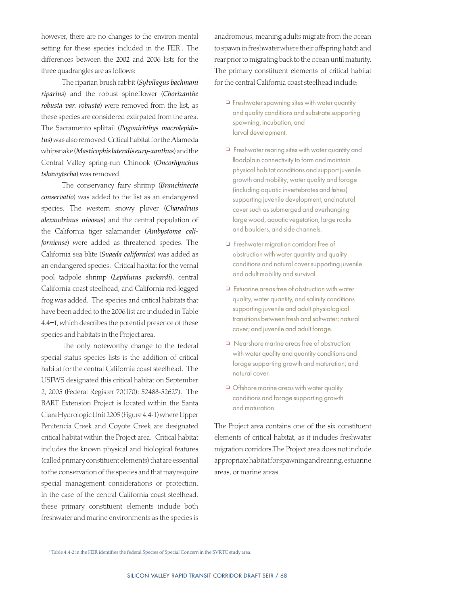however, there are no changes to the environ-mental setting for these species included in the  $FEIR<sup>1</sup>$ . The differences between the 2002 and 2006 lists for the three quadrangles are as follows:

The riparian brush rabbit (*Sylvilagus bachmani riparius*) and the robust spineflower (*Chorizanthe robusta var. robusta*) were removed from the list, as these species are considered extirpated from the area. The Sacramento splittail (*Pogonichthys macrolepidotus*) was also removed. Critical habitat for the Alameda whipsnake (*Masticophis lateralis eury-xanthus*) and the Central Valley spring-run Chinook (*Oncorhynchus tshawytscha*) was removed.

The conservancy fairy shrimp (*Branchinecta conservatio*) was added to the list as an endangered species. The western snowy plover (*Charadruis alexandrinus nivosus*) and the central population of the California tiger salamander (*Ambystoma californiense*) were added as threatened species. The California sea blite (*Suaeda californica*) was added as an endangered species. Critical habitat for the vernal pool tadpole shrimp (*Lepiduras packardi*), central California coast steelhead, and California red-legged frog was added. The species and critical habitats that have been added to the 2006 list are included in Table 4.4–1, which describes the potential presence of these species and habitats in the Project area.

The only noteworthy change to the federal special status species lists is the addition of critical habitat for the central California coast steelhead. The USFWS designated this critical habitat on September 2, 2005 (Federal Register 70(170): 52488-52627). The BART Extension Project is located within the Santa Clara Hydrologic Unit 2205 (Figure 4.4-1) where Upper Penitencia Creek and Coyote Creek are designated critical habitat within the Project area. Critical habitat includes the known physical and biological features (called primary constituent elements) that are essential to the conservation of the species and that may require special management considerations or protection. In the case of the central California coast steelhead, these primary constituent elements include both freshwater and marine environments as the species is

anadromous, meaning adults migrate from the ocean to spawn in freshwater where their offspring hatch and rear prior to migrating back to the ocean until maturity. The primary constituent elements of critical habitat for the central California coast steelhead include:

- $\Box$  Freshwater spawning sites with water quantity and quality conditions and substrate supporting spawning, incubation, and larval development.
- $\Box$  Freshwater rearing sites with water quantity and floodplain connectivity to form and maintain physical habitat conditions and support juvenile growth and mobility; water quality and forage (including aquatic invertebrates and fishes) supporting juvenile development; and natural cover such as submerged and overhanging large wood, aquatic vegetation, large rocks and boulders, and side channels.
- **D** Freshwater migration corridors free of obstruction with water quantity and quality conditions and natural cover supporting juvenile and adult mobility and survival.
- $\Box$  Estuarine areas free of obstruction with water quality, water quantity, and salinity conditions supporting juvenile and adult physiological transitions between fresh and saltwater; natural cover; and juvenile and adult forage.
- <sup>1</sup> Nearshore marine areas free of obstruction with water quality and quantity conditions and forage supporting growth and maturation; and natural cover.
- **Offshore marine areas with water quality** conditions and forage supporting growth and maturation.

The Project area contains one of the six constituent elements of critical habitat, as it includes freshwater migration corridors.The Project area does not include appropriate habitat for spawning and rearing, estuarine areas, or marine areas.

<sup>1</sup> Table 4.4-2 in the FEIR identifies the federal Species of Special Concern in the SVRTC study area.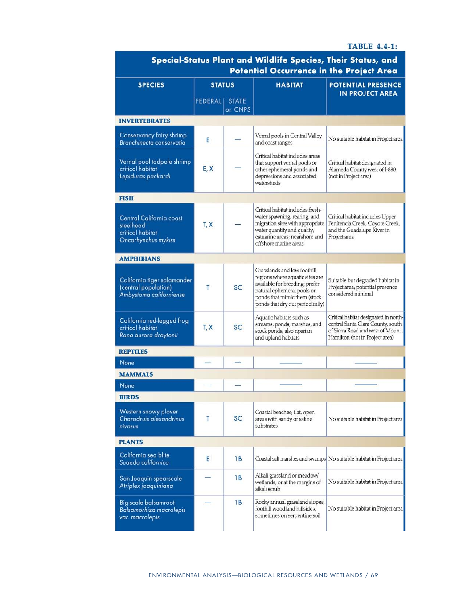#### **TABLE 4.4-1:**

| Special-Status Plant and Wildlife Species, Their Status, and<br><b>Potential Occurrence in the Project Area</b> |                 |                         |                                                                                                                                                                                                    |                                                                                                                                                  |  |  |  |  |  |
|-----------------------------------------------------------------------------------------------------------------|-----------------|-------------------------|----------------------------------------------------------------------------------------------------------------------------------------------------------------------------------------------------|--------------------------------------------------------------------------------------------------------------------------------------------------|--|--|--|--|--|
| <b>SPECIES</b>                                                                                                  | <b>STATUS</b>   |                         | <b>HABITAT</b>                                                                                                                                                                                     | POTENTIAL PRESENCE<br><b>IN PROJECT AREA</b>                                                                                                     |  |  |  |  |  |
|                                                                                                                 | <b>FEDERALI</b> | <b>STATE</b><br>or CNPS |                                                                                                                                                                                                    |                                                                                                                                                  |  |  |  |  |  |
| <b>INVERTEBRATES</b>                                                                                            |                 |                         |                                                                                                                                                                                                    |                                                                                                                                                  |  |  |  |  |  |
| Conservancy fairy shrimp<br>Branchinecta conservatio                                                            | E               |                         | Vernal pools in Central Valley<br>and coast ranges                                                                                                                                                 | No suitable habitat in Project area                                                                                                              |  |  |  |  |  |
| Vernal pool tadpole shrimp<br>critical habitat<br>Lepiduras packardi                                            | E, X            |                         | Critical habitat includes areas<br>that support vernal pools or<br>other ephemeral ponds and<br>depressions and associated<br>watersheds                                                           | Critical habitat designated in<br>Alameda County west of I-880<br>(not in Project area)                                                          |  |  |  |  |  |
| <b>FISH</b>                                                                                                     |                 |                         |                                                                                                                                                                                                    |                                                                                                                                                  |  |  |  |  |  |
| Central California coast<br>steelhead<br>critical habitat<br>Oncorhynchus mykiss                                | T, X            |                         | Critical habitat includes fresh-<br>water spawning, rearing, and<br>migration sites with appropriate<br>water quantity and quality;<br>estuarine areas: nearshore and<br>offshore marine areas     | Critical habitat includes Upper<br>Penitencia Creek, Coyote Creek,<br>and the Guadalupe River in<br>Project area                                 |  |  |  |  |  |
| <b>AMPHIBIANS</b>                                                                                               |                 |                         |                                                                                                                                                                                                    |                                                                                                                                                  |  |  |  |  |  |
| California tiger salamander<br>(central population)<br>Ambystoma californiense                                  | Т               | <b>SC</b>               | Grasslands and low foothill<br>regions where aquatic sites are<br>available for breeding; prefer<br>natural ephemeral pools or<br>ponds that mimic them (stock<br>ponds that dry out periodically) | Suitable but degraded habitat in<br>Project area; potential presence<br>considered minimal                                                       |  |  |  |  |  |
| California red-legged frog<br>critical habitat<br>Rana aurora draytonii                                         | T, X            | <b>SC</b>               | Aquatic habitats such as<br>streams, ponds, marshes, and<br>stock ponds; also riparian<br>and upland habitats                                                                                      | Critical habitat designated in north-<br>central Santa Clara County, south<br>of Sierra Road and west of Mount<br>Hamilton (not in Project area) |  |  |  |  |  |
| <b>REPTILES</b>                                                                                                 |                 |                         |                                                                                                                                                                                                    |                                                                                                                                                  |  |  |  |  |  |
| None                                                                                                            |                 |                         |                                                                                                                                                                                                    |                                                                                                                                                  |  |  |  |  |  |
| <b>MAMMALS</b>                                                                                                  |                 |                         |                                                                                                                                                                                                    |                                                                                                                                                  |  |  |  |  |  |
| None                                                                                                            |                 |                         |                                                                                                                                                                                                    |                                                                                                                                                  |  |  |  |  |  |
| <b>BIRDS</b>                                                                                                    |                 |                         |                                                                                                                                                                                                    |                                                                                                                                                  |  |  |  |  |  |
| Western snowy plover<br>Charadruis alexandrinus<br>nivosus                                                      | Т               | <b>SC</b>               | Coastal beaches; flat, open<br>areas with sandy or saline<br>substrates                                                                                                                            | No suitable habitat in Project area                                                                                                              |  |  |  |  |  |
| <b>PLANTS</b>                                                                                                   |                 |                         |                                                                                                                                                                                                    |                                                                                                                                                  |  |  |  |  |  |
| California sea blite<br>Suaeda californica                                                                      | Ε               | 1B                      |                                                                                                                                                                                                    | Coastal salt marshes and swamps No suitable habitat in Project area                                                                              |  |  |  |  |  |
| San Joaquin spearscale<br>Atriplex joaquiniana                                                                  |                 | 1 B                     | Alkali grassland or meadow/<br>wetlands, or at the margins of<br>alkali scrub                                                                                                                      | No suitable habitat in Project area                                                                                                              |  |  |  |  |  |
| <b>Big-scale balsamroot</b><br>Balsamorhiza macrolepis<br>var. macrolepis                                       |                 | 1 B                     | Rocky annual grassland slopes,<br>foothill woodland hillsides,<br>sometimes on serpentine soil                                                                                                     | No suitable habitat in Project area                                                                                                              |  |  |  |  |  |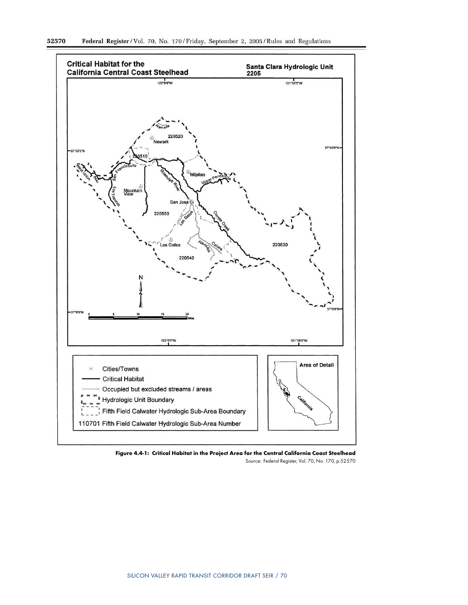

Figure 4.4‑1: Critical Habitat in the Project Area for the Central California Coast Steelhead Source: Federal Register, Vol. 70, No. 170, p.52570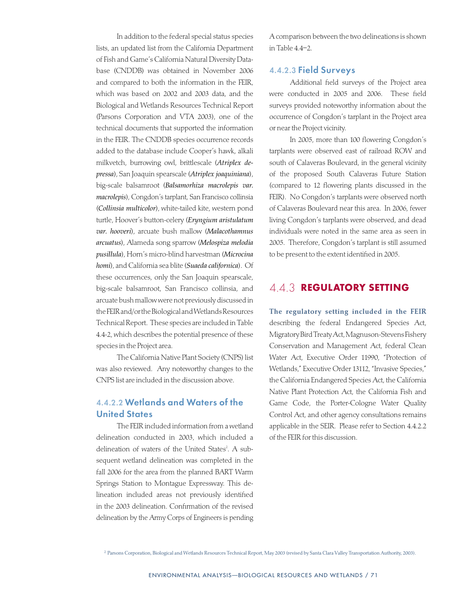In addition to the federal special status species lists, an updated list from the California Department of Fish and Game's California Natural Diversity Database (CNDDB) was obtained in November 2006 and compared to both the information in the FEIR, which was based on 2002 and 2003 data, and the Biological and Wetlands Resources Technical Report (Parsons Corporation and VTA 2003), one of the technical documents that supported the information in the FEIR. The CNDDB species occurrence records added to the database include Cooper's hawk, alkali milkvetch, burrowing owl, brittlescale (*Atriplex depressa*), San Joaquin spearscale (*Atriplex joaquiniana*), big-scale balsamroot (*Balsamorhiza macrolepis var. macrolepis*), Congdon's tarplant, San Francisco collinsia (*Collinsia multicolor*), white-tailed kite, western pond turtle, Hoover's button-celery (*Eryngium aristulatum var. hooveri*), arcuate bush mallow (*Malacothamnus arcuatus*), Alameda song sparrow (*Melospiza melodia pusillula*), Horn's micro-blind harvestman (*Microcina homi*), and California sea blite (*Suaeda californica*). Of these occurrences, only the San Joaquin spearscale, big-scale balsamroot, San Francisco collinsia, and arcuate bush mallow were not previously discussed in the FEIR and/or the Biological and Wetlands Resources Technical Report. These species are included in Table 4.4-2, which describes the potential presence of these species in the Project area.

The California Native Plant Society (CNPS) list was also reviewed. Any noteworthy changes to the CNPS list are included in the discussion above.

# 4.4.2.2 Wetlands and Waters of the United States

The FEIR included information from a wetland delineation conducted in 2003, which included a delineation of waters of the United States<sup>2</sup>. A subsequent wetland delineation was completed in the fall 2006 for the area from the planned BART Warm Springs Station to Montague Expressway. This delineation included areas not previously identified in the 2003 delineation. Confirmation of the revised delineation by the Army Corps of Engineers is pending

A comparison between the two delineations is shown in Table 4.4–2.

#### 4.4.2.3 Field Surveys

Additional field surveys of the Project area were conducted in 2005 and 2006. These field surveys provided noteworthy information about the occurrence of Congdon's tarplant in the Project area or near the Project vicinity.

In 2005, more than 100 flowering Congdon's tarplants were observed east of railroad ROW and south of Calaveras Boulevard, in the general vicinity of the proposed South Calaveras Future Station (compared to 12 flowering plants discussed in the FEIR). No Congdon's tarplants were observed north of Calaveras Boulevard near this area. In 2006, fewer living Congdon's tarplants were observed, and dead individuals were noted in the same area as seen in 2005. Therefore, Congdon's tarplant is still assumed to be present to the extent identified in 2005.

## 4.4.3 REGULATORY SETTING

The regulatory setting included in the FEIR describing the federal Endangered Species Act, Migratory Bird Treaty Act, Magnuson-Stevens Fishery Conservation and Management Act, federal Clean Water Act, Executive Order 11990, "Protection of Wetlands," Executive Order 13112, "Invasive Species," the California Endangered Species Act, the California Native Plant Protection Act, the California Fish and Game Code, the Porter-Cologne Water Quality Control Act, and other agency consultations remains applicable in the SEIR. Please refer to Section 4.4.2.2 of the FEIR for this discussion.

<sup>2</sup> Parsons Corporation, Biological and Wetlands Resources Technical Report, May 2003 (revised by Santa Clara Valley Transportation Authority, 2003).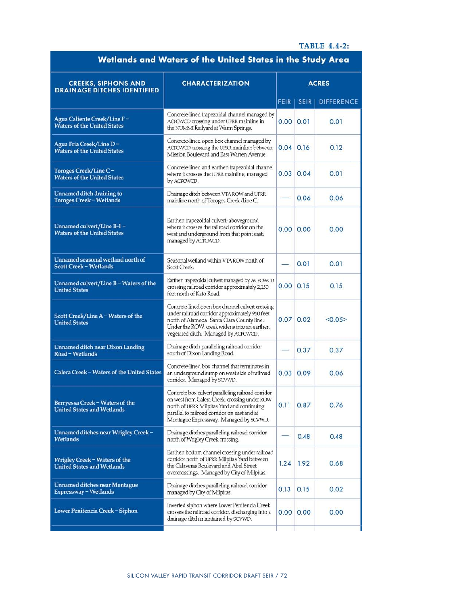### **TABLE 4.4-2:**

| Wetlands and Waters ot the United States in the Study Area           |                                                                                                                                                                                                                                             |              |             |                   |  |  |
|----------------------------------------------------------------------|---------------------------------------------------------------------------------------------------------------------------------------------------------------------------------------------------------------------------------------------|--------------|-------------|-------------------|--|--|
| <b>CREEKS, SIPHONS AND</b><br><b>DRAINAGE DITCHES IDENTIFIED</b>     | <b>CHARACTERIZATION</b>                                                                                                                                                                                                                     | <b>ACRES</b> |             |                   |  |  |
|                                                                      |                                                                                                                                                                                                                                             | <b>FEIR</b>  | <b>SEIR</b> | <b>DIFFERENCE</b> |  |  |
| Agua Caliente Creek/Line F-<br><b>Waters of the United States</b>    | Concrete-lined trapezoidal channel managed by<br>ACFCWCD crossing under UPRR mainline in<br>the NUMMI Railyard at Warm Springs.                                                                                                             | 0.00         | 0.01        | 0.01              |  |  |
| Agua Fria Creek/Line D-<br><b>Waters of the United States</b>        | Concrete-lined open box channel managed by<br>ACFCWCD crossing the UPRR mainline between<br>Mission Boulevard and East Warren Avenue                                                                                                        | 0.04         | 0.16        | 0.12              |  |  |
| Toroges Creek/Line C-<br><b>Waters of the United States</b>          | Concrete-lined and earthen trapezoidal channel<br>where it crosses the UPRR mainline; managed<br>by ACFCWCD.                                                                                                                                | 0.03         | 0.04        | 0.01              |  |  |
| Unnamed ditch draining to<br><b>Toroges Creek - Wetlands</b>         | Drainage ditch between VTA ROW and UPRR<br>mainline north of Toroges Creek /Line C.                                                                                                                                                         |              | 0.06        | 0.06              |  |  |
| Unnamed culvert/Line B-1 –<br><b>Waters of the United States</b>     | Earthen trapezoidal culvert; aboveground<br>where it crosses the railroad corridor on the<br>west and underground from that point east;<br>managed by ACFCWCD.                                                                              | 0.00         | 0.00        | 0.00              |  |  |
| Unnamed seasonal wetland north of<br><b>Scott Creek - Wetlands</b>   | Seasonal wetland within VTA ROW north of<br>Scott Creek                                                                                                                                                                                     |              | 0.01        | 0.01              |  |  |
| Unnamed culvert/Line B - Waters of the<br><b>United States</b>       | Earthen trapezoidal culvert managed by ACFCWCD<br>crossing railroad corridor approximately 2,150<br>feet north of Kato Road.                                                                                                                | 0.00         | 0.15        | 0.15              |  |  |
| Scott Creek/Line A - Waters of the<br><b>United States</b>           | Concrete-lined open box channel culvert crossing<br>under railroad corridor approximately 950 feet<br>north of Alameda-Santa Clara County line.<br>Under the ROW, creek widens into an earthen<br>vegetated ditch. Managed by ACFCWCD.      | 0.07         | 0.02        | <0.05>            |  |  |
| <b>Unnamed ditch near Dixon Landing</b><br>Road - Wetlands           | Drainage ditch paralleling railroad corridor<br>south of Dixon Landing Road.                                                                                                                                                                |              | 0.37        | 0.37              |  |  |
| Calera Creek - Waters of the United States                           | Concrete-lined box channel that terminates in<br>an underground sump on west side of railroad<br>corridor. Managed by SCVWD.                                                                                                                | 0.03         | 0.09        | 0.06              |  |  |
| Berryessa Creek - Waters of the<br><b>United States and Wetlands</b> | Concrete box culvert paralleling railroad corridor<br>on west from Calera Creek, crossing under ROW<br>north of UPRR Milpitas Yard and continuing<br>parallel to railroad corridor on east and at<br>Montague Expressway. Managed by SCVWD. | 0.11         | 0.87        | 0.76              |  |  |
| Unnamed ditches near Wrigley Creek-<br>Wetlands                      | Drainage ditches paralleling railroad corridor<br>north of Wrigley Creek crossing.                                                                                                                                                          |              | 0.48        | 0.48              |  |  |
| Wrigley Creek - Waters of the<br><b>United States and Wetlands</b>   | Earthen bottom channel crossing under railroad<br>corridor north of UPRR Milpitas Yard between<br>the Calaveras Boulevard and Abel Street<br>overcrossings. Managed by City of Milpitas.                                                    | 1.24         | 1.92        | 0.68              |  |  |
| <b>Unnamed ditches near Montague</b><br>Expressway - Wetlands        | Drainage ditches paralleling railroad corridor<br>managed by City of Milpitas.                                                                                                                                                              | 0.13         | 0.15        | 0.02              |  |  |
| Lower Penitencia Creek - Siphon                                      | Inverted siphon where Lower Penitencia Creek<br>crosses the railroad corridor, discharging into a<br>drainage ditch maintained by SCVWD.                                                                                                    | 0.00         | 0.00        | 0.00              |  |  |
|                                                                      |                                                                                                                                                                                                                                             |              |             |                   |  |  |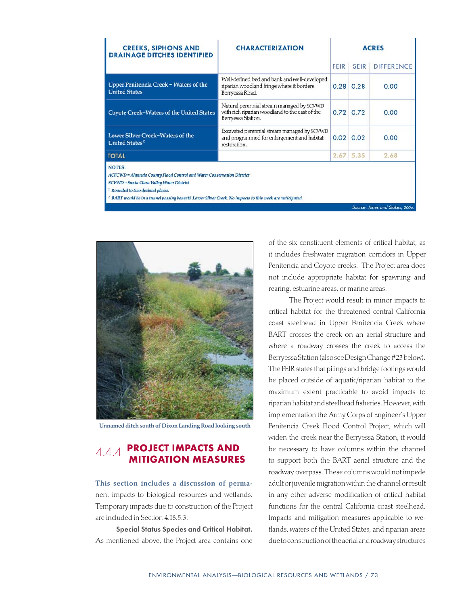| <b>CREEKS, SIPHONS AND</b><br><b>DRAINAGE DITCHES IDENTIFIED</b>                                                                                                                                                                                                                                           | <b>CHARACTERIZATION</b>                                                                                           |      | <b>ACRES</b>  |                   |  |  |  |
|------------------------------------------------------------------------------------------------------------------------------------------------------------------------------------------------------------------------------------------------------------------------------------------------------------|-------------------------------------------------------------------------------------------------------------------|------|---------------|-------------------|--|--|--|
|                                                                                                                                                                                                                                                                                                            |                                                                                                                   | FEIR | <b>SEIR</b>   | <b>DIFFERENCE</b> |  |  |  |
| Upper Penitencia Creek - Waters of the<br><b>United States</b>                                                                                                                                                                                                                                             | Well-defined bed and bank and well-developed<br>riparian woodland fringe where it borders<br>Berryessa Road.      |      | $0.28$ 0.28   | 0.00              |  |  |  |
| <b>Coyote Creek-Waters of the United States</b>                                                                                                                                                                                                                                                            | Natural perennial stream managed by SCVWD<br>with rich riparian woodland to the east of the<br>Berryessa Station. |      | 0.72 0.72     | 0.00              |  |  |  |
| Lower Silver Creek-Waters of the<br>United States <sup>2</sup>                                                                                                                                                                                                                                             | Excavated perennial stream managed by SCVWD<br>and programmed for enlargement and habitat<br>restoration.         |      | $0.02 \ 0.02$ | 0.00              |  |  |  |
| <b>TOTAL</b>                                                                                                                                                                                                                                                                                               |                                                                                                                   | 2.67 | 5.35          | 2.68              |  |  |  |
| <b>NOTES:</b><br>ACFCWD = Alameda County Flood Control and Water Conservation District<br>SCVWD = Santa Clara Valley Water District<br><sup>1</sup> Rounded to two decimal places.<br><sup>2</sup> BART would be in a tunnel passing beneath Lower Silver Creek. No impacts to this creek are anticipated. |                                                                                                                   |      |               |                   |  |  |  |



Unnamed ditch south of Dixon Landing Road looking south

# 4.4.4 PROJECT IMPACTS AND MITIGATION MEASURES

This section includes a discussion of permanent impacts to biological resources and wetlands. Temporary impacts due to construction of the Project are included in Section 4.18.5.3.

Special Status Species and Critical Habitat. As mentioned above, the Project area contains one

of the six constituent elements of critical habitat, as it includes freshwater migration corridors in Upper Penitencia and Coyote creeks. The Project area does not include appropriate habitat for spawning and rearing, estuarine areas, or marine areas.

Source: Jones and Stokes, 200d

The Project would result in minor impacts to critical habitat for the threatened central California coast steelhead in Upper Penitencia Creek where BART crosses the creek on an aerial structure and where a roadway crosses the creek to access the Berryessa Station (also see Design Change #23 below). The FEIR states that pilings and bridge footings would be placed outside of aquatic/riparian habitat to the maximum extent practicable to avoid impacts to riparian habitat and steelhead fisheries. However, with implementation the Army Corps of Engineer's Upper Penitencia Creek Flood Control Project, which will widen the creek near the Berryessa Station, it would be necessary to have columns within the channel to support both the BART aerial structure and the roadway overpass. These columns would not impede adult or juvenile migration within the channel or result in any other adverse modification of critical habitat functions for the central California coast steelhead. Impacts and mitigation measures applicable to wetlands, waters of the United States, and riparian areas due to construction of the aerial and roadway structures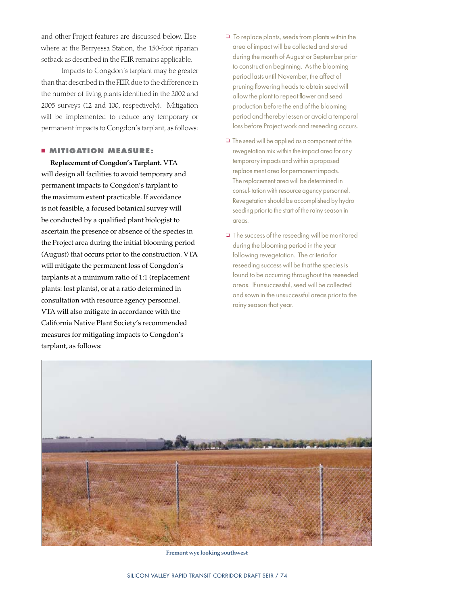and other Project features are discussed below. Elsewhere at the Berryessa Station, the 150-foot riparian setback as described in the FEIR remains applicable.

Impacts to Congdon's tarplant may be greater than that described in the FEIR due to the difference in the number of living plants identified in the 2002 and 2005 surveys (12 and 100, respectively). Mitigation will be implemented to reduce any temporary or permanent impacts to Congdon's tarplant, as follows:

### <sup>n</sup> **MITIGATION MEASURE:**

Replacement of Congdon's Tarplant. VTA will design all facilities to avoid temporary and permanent impacts to Congdon's tarplant to the maximum extent practicable. If avoidance is not feasible, a focused botanical survey will be conducted by a qualified plant biologist to ascertain the presence or absence of the species in the Project area during the initial blooming period (August) that occurs prior to the construction. VTA will mitigate the permanent loss of Congdon's tarplants at a minimum ratio of 1:1 (replacement plants: lost plants), or at a ratio determined in consultation with resource agency personnel. VTA will also mitigate in accordance with the California Native Plant Society's recommended measures for mitigating impacts to Congdon's tarplant, as follows:

- $\Box$  To replace plants, seeds from plants within the area of impact will be collected and stored during the month of August or September prior to construction beginning. As the blooming period lasts until November, the affect of pruning flowering heads to obtain seed will allow the plant to repeat flower and seed production before the end of the blooming period and thereby lessen or avoid a temporal loss before Project work and reseeding occurs.
- $\Box$  The seed will be applied as a component of the revegetation mix within the impact area for any temporary impacts and within a proposed replace ment area for permanent impacts. The replacement area will be determined in consul- tation with resource agency personnel. Revegetation should be accomplished by hydro seeding prior to the start of the rainy season in areas.
- $\Box$  The success of the reseeding will be monitored during the blooming period in the year following revegetation. The criteria for reseeding success will be that the species is found to be occurring throughout the reseeded areas. If unsuccessful, seed will be collected and sown in the unsuccessful areas prior to the rainy season that year.



Fremont wye looking southwest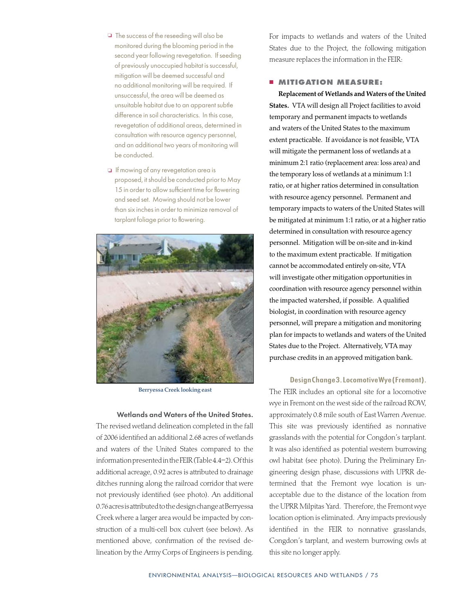- $\Box$  The success of the reseeding will also be monitored during the blooming period in the second year following revegetation. If seeding of previously unoccupied habitat is successful, mitigation will be deemed successful and no additional monitoring will be required. If unsuccessful, the area will be deemed as unsuitable habitat due to an apparent subtle difference in soil characteristics. In this case, revegetation of additional areas, determined in consultation with resource agency personnel, and an additional two years of monitoring will be conducted.
- **D** If mowing of any revegetation area is proposed, it should be conducted prior to May 15 in order to allow sufficient time for flowering and seed set. Mowing should not be lower than six inches in order to minimize removal of tarplant foliage prior to flowering.



Berryessa Creek looking east

Wetlands and Waters of the United States.

The revised wetland delineation completed in the fall of 2006 identified an additional 2.68 acres of wetlands and waters of the United States compared to the information presented in the FEIR (Table 4.4–2). Of this additional acreage, 0.92 acres is attributed to drainage ditches running along the railroad corridor that were not previously identified (see photo). An additional 0.76 acres is attributed to the design change at Berryessa Creek where a larger area would be impacted by construction of a multi-cell box culvert (see below). As mentioned above, confirmation of the revised delineation by the Army Corps of Engineers is pending. For impacts to wetlands and waters of the United States due to the Project, the following mitigation measure replaces the information in the FEIR:

#### **E MITIGATION MEASURE:**

Replacement of Wetlands and Waters of the United States. VTA will design all Project facilities to avoid temporary and permanent impacts to wetlands and waters of the United States to the maximum extent practicable. If avoidance is not feasible, VTA will mitigate the permanent loss of wetlands at a minimum 2:1 ratio (replacement area: loss area) and the temporary loss of wetlands at a minimum 1:1 ratio, or at higher ratios determined in consultation with resource agency personnel. Permanent and temporary impacts to waters of the United States will be mitigated at minimum 1:1 ratio, or at a higher ratio determined in consultation with resource agency personnel. Mitigation will be on-site and in-kind to the maximum extent practicable. If mitigation cannot be accommodated entirely on-site, VTA will investigate other mitigation opportunities in coordination with resource agency personnel within the impacted watershed, if possible. A qualified biologist, in coordination with resource agency personnel, will prepare a mitigation and monitoring plan for impacts to wetlands and waters of the United States due to the Project. Alternatively, VTA may purchase credits in an approved mitigation bank.

#### Design Change 3. Locomotive Wye (Fremont).

The FEIR includes an optional site for a locomotive wye in Fremont on the west side of the railroad ROW, approximately 0.8 mile south of East Warren Avenue. This site was previously identified as nonnative grasslands with the potential for Congdon's tarplant. It was also identified as potential western burrowing owl habitat (see photo). During the Preliminary Engineering design phase, discussions with UPRR determined that the Fremont wye location is unacceptable due to the distance of the location from the UPRR Milpitas Yard. Therefore, the Fremont wye location option is eliminated. Any impacts previously identified in the FEIR to nonnative grasslands, Congdon's tarplant, and western burrowing owls at this site no longer apply.